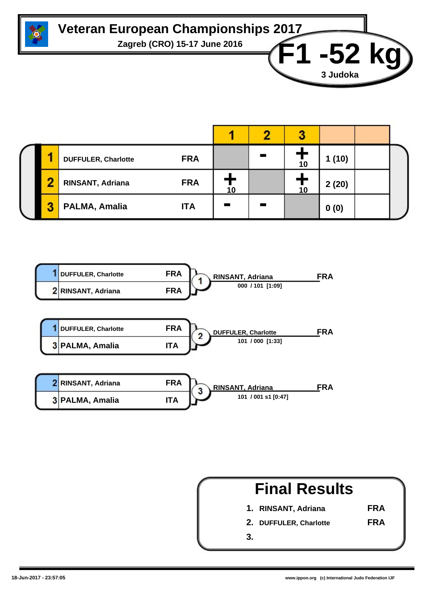

## **Veteran European Championships 2017**

**Zagreb (CRO) 15-17 June 2016 F1 -52 kg**

|   | <b>FRA</b><br><b>DUFFULER, Charlotte</b> |    | 10 | 1(10) |  |
|---|------------------------------------------|----|----|-------|--|
|   | <b>FRA</b><br>RINSANT, Adriana           | 10 | 10 | 2(20) |  |
| 2 | PALMA, Amalia<br><b>ITA</b>              |    |    | 0(0)  |  |



|    | <b>Final Results</b>   |            |
|----|------------------------|------------|
|    | 1. RINSANT, Adriana    | <b>FRA</b> |
|    | 2. DUFFULER, Charlotte | <b>FRA</b> |
| 3. |                        |            |

**3 Judoka**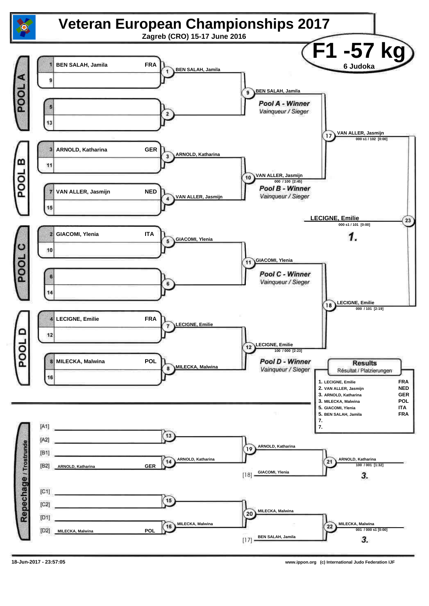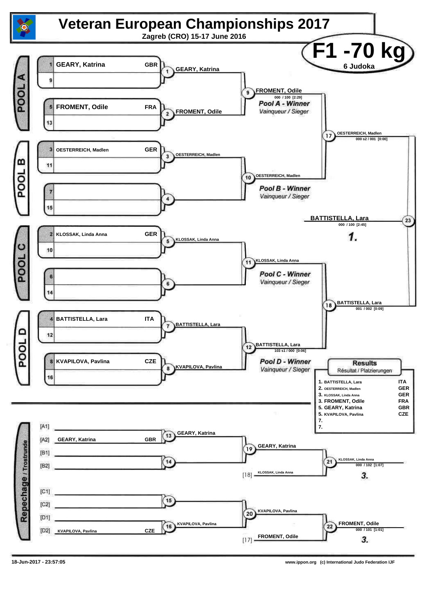